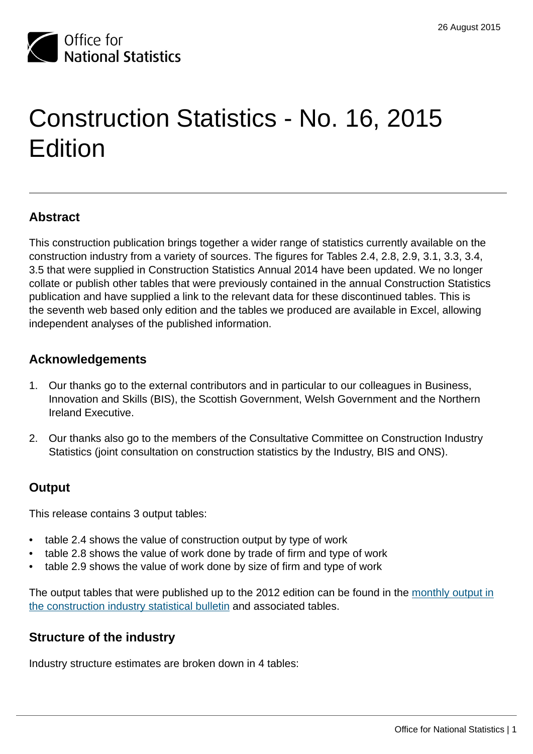

# Construction Statistics - No. 16, 2015 Edition

## **Abstract**

This construction publication brings together a wider range of statistics currently available on the construction industry from a variety of sources. The figures for Tables 2.4, 2.8, 2.9, 3.1, 3.3, 3.4, 3.5 that were supplied in Construction Statistics Annual 2014 have been updated. We no longer collate or publish other tables that were previously contained in the annual Construction Statistics publication and have supplied a link to the relevant data for these discontinued tables. This is the seventh web based only edition and the tables we produced are available in Excel, allowing independent analyses of the published information.

## **Acknowledgements**

- 1. Our thanks go to the external contributors and in particular to our colleagues in Business, Innovation and Skills (BIS), the Scottish Government, Welsh Government and the Northern Ireland Executive.
- 2. Our thanks also go to the members of the Consultative Committee on Construction Industry Statistics (joint consultation on construction statistics by the Industry, BIS and ONS).

#### **Output**

This release contains 3 output tables:

- table 2.4 shows the value of construction output by type of work
- table 2.8 shows the value of work done by trade of firm and type of work
- table 2.9 shows the value of work done by size of firm and type of work

The output tables that were published up to the 2012 edition can be found in the [monthly output in](http://www.ons.gov.uk:80/ons/rel/construction/output-in-the-construction-industry/index.html) [the construction industry statistical bulletin](http://www.ons.gov.uk:80/ons/rel/construction/output-in-the-construction-industry/index.html) and associated tables.

#### **Structure of the industry**

Industry structure estimates are broken down in 4 tables: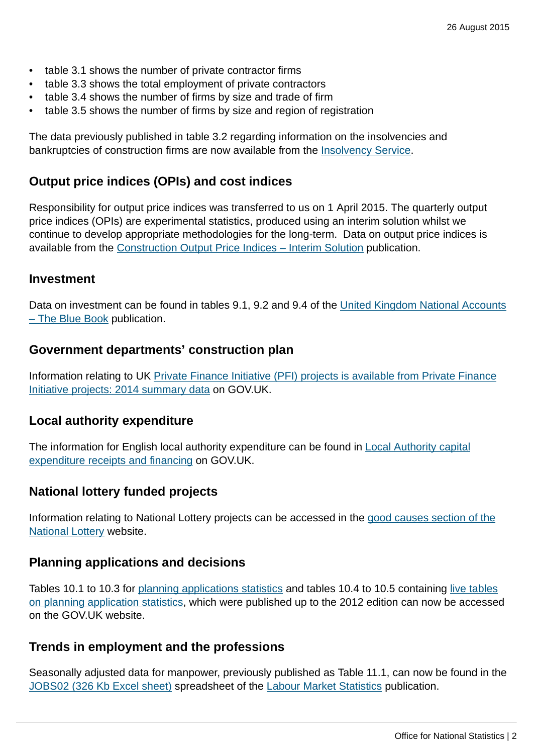- table 3.1 shows the number of private contractor firms
- table 3.3 shows the total employment of private contractors
- table 3.4 shows the number of firms by size and trade of firm
- table 3.5 shows the number of firms by size and region of registration

The data previously published in table 3.2 regarding information on the insolvencies and bankruptcies of construction firms are now available from the [Insolvency Service](https://www.gov.uk/government/collections/insolvency-service-official-statistics).

#### **Output price indices (OPIs) and cost indices**

Responsibility for output price indices was transferred to us on 1 April 2015. The quarterly output price indices (OPIs) are experimental statistics, produced using an interim solution whilst we continue to develop appropriate methodologies for the long-term. Data on output price indices is available from the [Construction Output Price Indices – Interim Solution](http://www.ons.gov.uk:80/ons/rel/ppi2/construction-output-price-indices--opis-/index.html) publication.

#### **Investment**

Data on investment can be found in tables 9.1, 9.2 and 9.4 of the [United Kingdom National Accounts](http://www.ons.gov.uk/ons/publications/re-reference-tables.html?edition=tcm%3A77-336654) [– The Blue Book](http://www.ons.gov.uk/ons/publications/re-reference-tables.html?edition=tcm%3A77-336654) publication.

#### **Government departments' construction plan**

Information relating to UK [Private Finance Initiative \(PFI\) projects is available from Private Finance](https://www.gov.uk/government/publications/private-finance-initiative-projects-2014-summary-data) [Initiative projects: 2014 summary data](https://www.gov.uk/government/publications/private-finance-initiative-projects-2014-summary-data) on GOV.UK.

#### **Local authority expenditure**

The information for English local authority expenditure can be found in **[Local Authority capital](https://www.gov.uk/government/collections/local-authority-capital-expenditure-receipts-and-financing)** [expenditure receipts and financing](https://www.gov.uk/government/collections/local-authority-capital-expenditure-receipts-and-financing) on GOV.UK.

#### **National lottery funded projects**

Information relating to National Lottery projects can be accessed in the [good causes section of the](http://www.lotterygoodcauses.org.uk/good-causes) [National Lottery](http://www.lotterygoodcauses.org.uk/good-causes) website.

#### **Planning applications and decisions**

Tables 10.1 to 10.3 for [planning applications statistics](https://www.gov.uk/government/collections/planning-applications-statistics) and tables 10.4 to 10.5 containing [live tables](https://www.gov.uk/government/statistical-data-sets/live-tables-on-planning-application-statistics) [on planning application statistics](https://www.gov.uk/government/statistical-data-sets/live-tables-on-planning-application-statistics), which were published up to the 2012 edition can now be accessed on the GOV.UK website.

#### **Trends in employment and the professions**

Seasonally adjusted data for manpower, previously published as Table 11.1, can now be found in the [JOBS02 \(326 Kb Excel sheet\)](http://www.ons.gov.uk:80/ons/rel/lms/labour-market-statistics/august-2015/table-jobs02.xls) spreadsheet of the [Labour Market Statistics](http://www.ons.gov.uk:80/ons/rel/lms/labour-market-statistics/index.html) publication.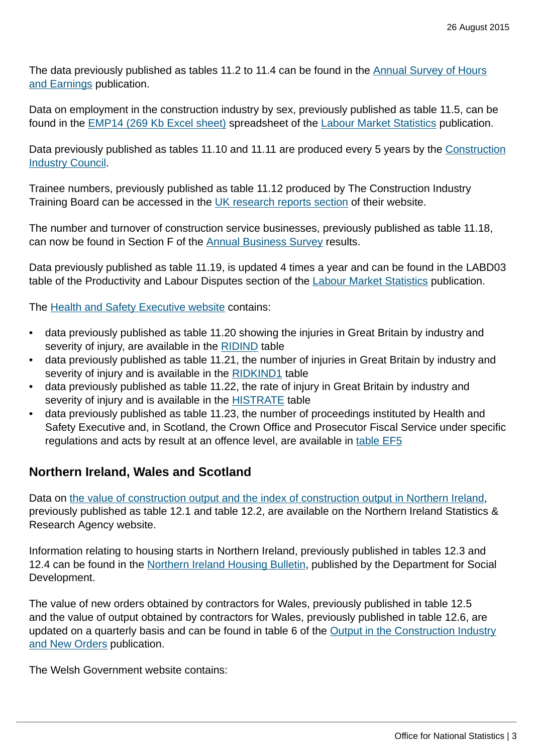The data previously published as tables 11.2 to 11.4 can be found in the [Annual Survey of Hours](http://www.ons.gov.uk:80/ons/rel/ashe/annual-survey-of-hours-and-earnings/index.html) [and Earnings](http://www.ons.gov.uk:80/ons/rel/ashe/annual-survey-of-hours-and-earnings/index.html) publication.

Data on employment in the construction industry by sex, previously published as table 11.5, can be found in the [EMP14 \(269 Kb Excel sheet\)](http://www.ons.gov.uk:80/ons/rel/lms/labour-market-statistics/august-2015/table-emp14.xls) spreadsheet of the [Labour Market Statistics](http://www.ons.gov.uk:80/ons/rel/lms/labour-market-statistics/index.html) publication.

Data previously published as tables 11.10 and 11.11 are produced every 5 years by the [Construction](http://cic.org.uk/) [Industry Council](http://cic.org.uk/).

Trainee numbers, previously published as table 11.12 produced by The Construction Industry Training Board can be accessed in the [UK research reports section](http://www.citb.co.uk/research/research-reports/) of their website.

The number and turnover of construction service businesses, previously published as table 11.18, can now be found in Section F of the [Annual Business Survey](http://www.ons.gov.uk:80/ons/rel/abs/annual-business-survey/2013-provisional-results/stb-abs-2013-provisional.html) results.

Data previously published as table 11.19, is updated 4 times a year and can be found in the LABD03 table of the Productivity and Labour Disputes section of the [Labour Market Statistics](http://www.ons.gov.uk:80/ons/rel/lms/labour-market-statistics/index.html) publication.

The [Health and Safety Executive website](http://www.hse.gov.uk/statistics/tables/index.htm) contains:

- data previously published as table 11.20 showing the injuries in Great Britain by industry and severity of injury, are available in the [RIDIND](http://www.hse.gov.uk/search/search-results.htm?q=RIDIND#gsc.tab=0&gsc.q=RIDIND&gsc.page=1) table
- data previously published as table 11.21, the number of injuries in Great Britain by industry and severity of injury and is available in the [RIDKIND1](https://www.google.com/url?q=http://www.hse.gov.uk/statistics/tables/ridkind1.xls&sa=U&ved=0CAQQFjAAahUKEwiIvbXMo6jHAhUCvxQKHYTJCa8&client=internal-uds-cse&usg=AFQjCNG95D5Qr0Ho02ViQHNyWc_XBoqM2Q) table
- data previously published as table 11.22, the rate of injury in Great Britain by industry and severity of injury and is available in the [HISTRATE](https://www.google.com/url?q=http://www.hse.gov.uk/statistics/history/histrate.xls&sa=U&ved=0CAQQFjAAahUKEwiAuIT-pKjHAhXLshQKHbEdAF0&client=internal-uds-cse&usg=AFQjCNHvT_vsX2hXEQaoBilPa0kDUcl2jg) table
- data previously published as table 11.23, the number of proceedings instituted by Health and Safety Executive and, in Scotland, the Crown Office and Prosecutor Fiscal Service under specific regulations and acts by result at an offence level, are available in [table EF5](https://www.google.com/url?q=http://www.hse.gov.uk/statistics/tables/ef5.xls&sa=U&ved=0CAQQFjAAahUKEwiWloiwpajHAhVFDSwKHcI1C3s&client=internal-uds-cse&usg=AFQjCNF9bpVH6i4ctH4MWOEqp5nlG5H9Bg)

#### **Northern Ireland, Wales and Scotland**

Data on [the value of construction output and the index of construction output in Northern Ireland](http://www.csu.nisra.gov.uk/survey.asp84.htm), previously published as table 12.1 and table 12.2, are available on the Northern Ireland Statistics & Research Agency website.

Information relating to housing starts in Northern Ireland, previously published in tables 12.3 and 12.4 can be found in the [Northern Ireland Housing Bulletin](http://www.dsdni.gov.uk/index/stats_and_research/stats-publications/stats-housing-publications/housing_bulletins.htm), published by the Department for Social Development.

The value of new orders obtained by contractors for Wales, previously published in table 12.5 and the value of output obtained by contractors for Wales, previously published in table 12.6, are updated on a quarterly basis and can be found in table 6 of the [Output in the Construction Industry](http://www.ons.gov.uk:80/ons/rel/construction/output-in-the-construction-industry/index.html) [and New Orders](http://www.ons.gov.uk:80/ons/rel/construction/output-in-the-construction-industry/index.html) publication.

The Welsh Government website contains: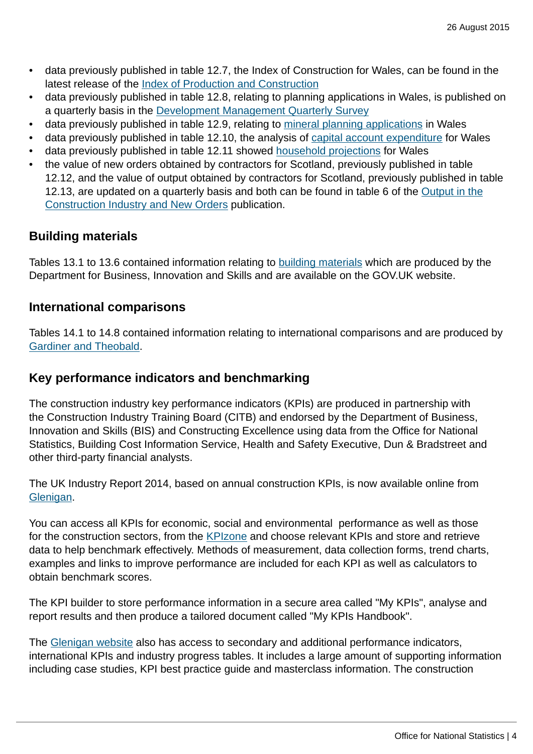- data previously published in table 12.7, the Index of Construction for Wales, can be found in the latest release of the [Index of Production and Construction](http://gov.wales/statistics-and-research/index-production-construction/?lang=en)
- data previously published in table 12.8, relating to planning applications in Wales, is published on a quarterly basis in the [Development Management Quarterly Survey](http://gov.wales/topics/planning/planningstats/development-control-management-survey/?lang=en)
- data previously published in table 12.9, relating to [mineral planning applications](http://gov.wales/topics/planning/policy/?lang=en) in Wales
- data previously published in table 12.10, the analysis of [capital account expenditure](http://gov.wales/statistics-and-research/?lang=en) for Wales
- data previously published in table 12.11 showed [household projections](http://gov.wales/statistics-and-research/household-projections/?lang=en) for Wales
- the value of new orders obtained by contractors for Scotland, previously published in table 12.12, and the value of output obtained by contractors for Scotland, previously published in table 12.13, are updated on a quarterly basis and both can be found in table 6 of the [Output in the](http://www.ons.gov.uk:80/ons/rel/construction/output-in-the-construction-industry/index.html) [Construction Industry and New Orders](http://www.ons.gov.uk:80/ons/rel/construction/output-in-the-construction-industry/index.html) publication.

#### **Building materials**

Tables 13.1 to 13.6 contained information relating to [building materials](https://www.gov.uk/government/collections/building-materials-and-components-monthly-statistics-2012) which are produced by the Department for Business, Innovation and Skills and are available on the GOV.UK website.

#### **International comparisons**

Tables 14.1 to 14.8 contained information relating to international comparisons and are produced by [Gardiner and Theobald.](http://www.gardiner.com/media_publications/economics/)

#### **Key performance indicators and benchmarking**

The construction industry key performance indicators (KPIs) are produced in partnership with the Construction Industry Training Board (CITB) and endorsed by the Department of Business, Innovation and Skills (BIS) and Constructing Excellence using data from the Office for National Statistics, Building Cost Information Service, Health and Safety Executive, Dun & Bradstreet and other third-party financial analysts.

The UK Industry Report 2014, based on annual construction KPIs, is now available online from [Glenigan](https://www.glenigan.com/sites/default/files/2014_UK_Construction_Industry_KPI_Report_FINAL.pdf?sid=56293).

You can access all KPIs for economic, social and environmental performance as well as those for the construction sectors, from the [KPIzone](http://www.glenigan.com/construction-market-analysis/news/kpi-zone) and choose relevant KPIs and store and retrieve data to help benchmark effectively. Methods of measurement, data collection forms, trend charts, examples and links to improve performance are included for each KPI as well as calculators to obtain benchmark scores.

The KPI builder to store performance information in a secure area called "My KPIs", analyse and report results and then produce a tailored document called "My KPIs Handbook".

The [Glenigan website](http://www.glenigan.com/) also has access to secondary and additional performance indicators, international KPIs and industry progress tables. It includes a large amount of supporting information including case studies, KPI best practice guide and masterclass information. The construction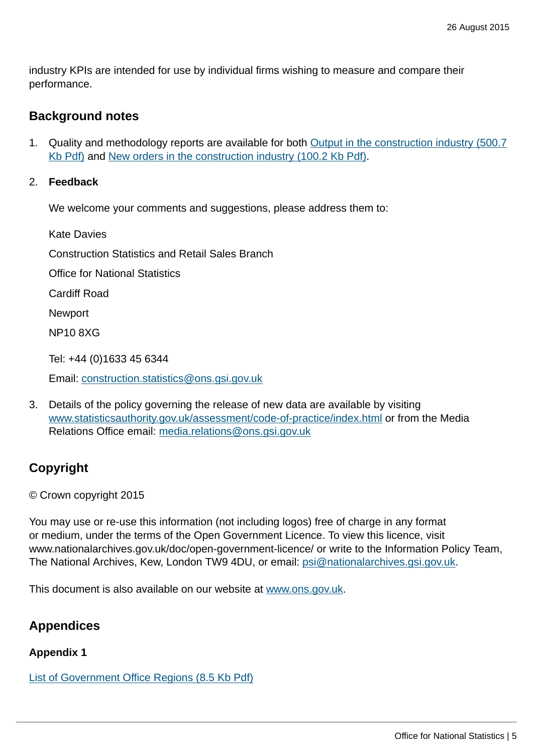industry KPIs are intended for use by individual firms wishing to measure and compare their performance.

#### **Background notes**

1. Quality and methodology reports are available for both [Output in the construction industry \(500.7](http://www.ons.gov.uk:80/ons/guide-method/method-quality/quality/quality-information/business-and-energy/quality-and-methodology-information-for-output-in-the-construction-industry.pdf) [Kb Pdf\)](http://www.ons.gov.uk:80/ons/guide-method/method-quality/quality/quality-information/business-and-energy/quality-and-methodology-information-for-output-in-the-construction-industry.pdf) and [New orders in the construction industry \(100.2 Kb Pdf\).](http://www.ons.gov.uk:80/ons/guide-method/method-quality/quality/quality-information/business-statistics/new-orders-in-the-construction-industry.pdf)

#### 2. **Feedback**

We welcome your comments and suggestions, please address them to:

Kate Davies Construction Statistics and Retail Sales Branch Office for National Statistics Cardiff Road Newport NP10 8XG Tel: +44 (0)1633 45 6344

Email: [construction.statistics@ons.gsi.gov.uk](mailto:construction.statistics@ons.gsi.gov.uk)

3. Details of the policy governing the release of new data are available by visiting [www.statisticsauthority.gov.uk/assessment/code-of-practice/index.html](http://www.statisticsauthority.gov.uk/assessment/code-of-practice/index.html) or from the Media Relations Office email: [media.relations@ons.gsi.gov.uk](mailto:media.relations@ons.gsi.gov.uk)

## **Copyright**

© Crown copyright 2015

You may use or re-use this information (not including logos) free of charge in any format or medium, under the terms of the Open Government Licence. To view this licence, visit www.nationalarchives.gov.uk/doc/open-government-licence/ or write to the Information Policy Team, The National Archives, Kew, London TW9 4DU, or email: [psi@nationalarchives.gsi.gov.uk](mailto:psi@nationalarchives.gsi.gov.uk).

This document is also available on our website at [www.ons.gov.uk.](http://www.ons.gov.uk/)

#### **Appendices**

#### **Appendix 1**

[List of Government Office Regions \(8.5 Kb Pdf\)](http://www.ons.gov.uk:80/ons/rel/construction/construction-statistics/no--16--2015-edition/pdf-construction-statistics-appendix-1.pdf)